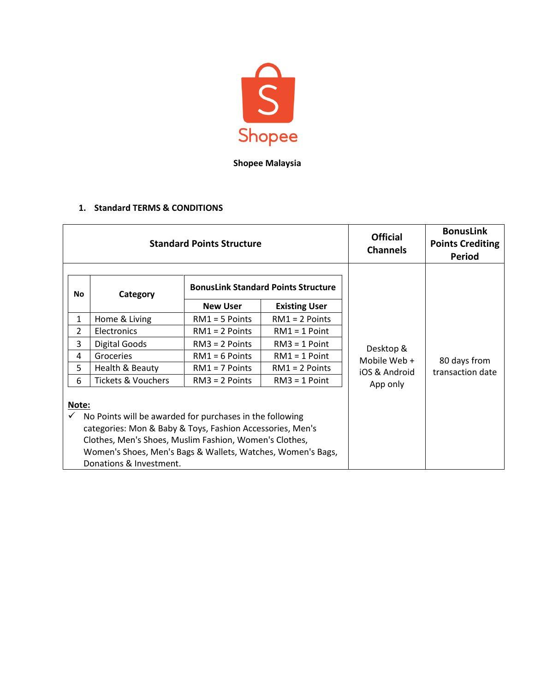

**Shopee Malaysia**

## **1. Standard TERMS & CONDITIONS**

|                | <b>Standard Points Structure</b>                                                                                                                                                                                                                                          | <b>Official</b><br><b>Channels</b>         | <b>BonusLink</b><br><b>Points Crediting</b><br>Period |               |                  |
|----------------|---------------------------------------------------------------------------------------------------------------------------------------------------------------------------------------------------------------------------------------------------------------------------|--------------------------------------------|-------------------------------------------------------|---------------|------------------|
| No             | Category                                                                                                                                                                                                                                                                  | <b>BonusLink Standard Points Structure</b> |                                                       |               |                  |
|                |                                                                                                                                                                                                                                                                           | <b>New User</b>                            | <b>Existing User</b>                                  | Desktop &     |                  |
| $\mathbf{1}$   | Home & Living                                                                                                                                                                                                                                                             | $RM1 = 5$ Points                           | $RM1 = 2$ Points                                      |               |                  |
| $\overline{2}$ | Electronics                                                                                                                                                                                                                                                               | $RM1 = 2$ Points                           | $RM1 = 1$ Point                                       |               |                  |
| 3              | Digital Goods                                                                                                                                                                                                                                                             | $RM3 = 2$ Points                           | $RM3 = 1$ Point                                       |               |                  |
| 4              | Groceries                                                                                                                                                                                                                                                                 | $RM1 = 6$ Points                           | $RM1 = 1$ Point                                       | Mobile Web +  | 80 days from     |
| 5              | Health & Beauty                                                                                                                                                                                                                                                           | $RM1 = 7$ Points                           | $RM1 = 2$ Points                                      | iOS & Android | transaction date |
| 6              | Tickets & Vouchers                                                                                                                                                                                                                                                        | $RM3 = 2$ Points                           | $RM3 = 1$ Point                                       | App only      |                  |
| Note:          | No Points will be awarded for purchases in the following<br>categories: Mon & Baby & Toys, Fashion Accessories, Men's<br>Clothes, Men's Shoes, Muslim Fashion, Women's Clothes,<br>Women's Shoes, Men's Bags & Wallets, Watches, Women's Bags,<br>Donations & Investment. |                                            |                                                       |               |                  |